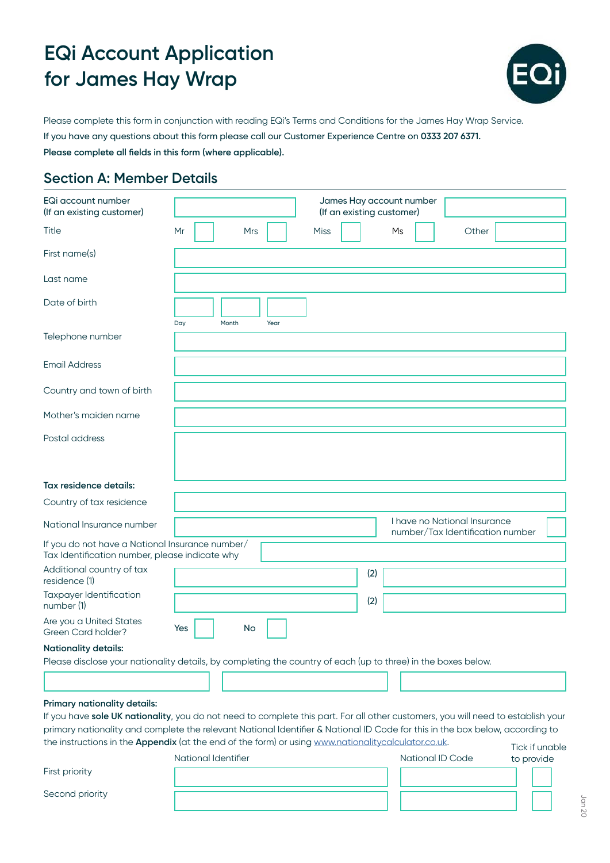

Please complete this form in conjunction with reading EQi's Terms and Conditions for the James Hay Wrap Service. If you have any questions about this form please call our Customer Experience Centre on **0333 207 6371. Please complete all fields in this form (where applicable).**

### **Section A: Member Details**

| EQi account number<br>(If an existing customer)                                                                                                                                                                                                                                                                                                                                                         |                     |            |      |             | James Hay account number<br>(If an existing customer) |     |    |                              |                                  |  |
|---------------------------------------------------------------------------------------------------------------------------------------------------------------------------------------------------------------------------------------------------------------------------------------------------------------------------------------------------------------------------------------------------------|---------------------|------------|------|-------------|-------------------------------------------------------|-----|----|------------------------------|----------------------------------|--|
| Title                                                                                                                                                                                                                                                                                                                                                                                                   | Mr                  | <b>Mrs</b> |      | <b>Miss</b> |                                                       |     | Ms | Other                        |                                  |  |
| First name(s)                                                                                                                                                                                                                                                                                                                                                                                           |                     |            |      |             |                                                       |     |    |                              |                                  |  |
| Last name                                                                                                                                                                                                                                                                                                                                                                                               |                     |            |      |             |                                                       |     |    |                              |                                  |  |
| Date of birth                                                                                                                                                                                                                                                                                                                                                                                           | Day                 | Month      | Year |             |                                                       |     |    |                              |                                  |  |
| Telephone number                                                                                                                                                                                                                                                                                                                                                                                        |                     |            |      |             |                                                       |     |    |                              |                                  |  |
| <b>Email Address</b>                                                                                                                                                                                                                                                                                                                                                                                    |                     |            |      |             |                                                       |     |    |                              |                                  |  |
| Country and town of birth                                                                                                                                                                                                                                                                                                                                                                               |                     |            |      |             |                                                       |     |    |                              |                                  |  |
| Mother's maiden name                                                                                                                                                                                                                                                                                                                                                                                    |                     |            |      |             |                                                       |     |    |                              |                                  |  |
| Postal address                                                                                                                                                                                                                                                                                                                                                                                          |                     |            |      |             |                                                       |     |    |                              |                                  |  |
| Tax residence details:                                                                                                                                                                                                                                                                                                                                                                                  |                     |            |      |             |                                                       |     |    |                              |                                  |  |
| Country of tax residence                                                                                                                                                                                                                                                                                                                                                                                |                     |            |      |             |                                                       |     |    |                              |                                  |  |
| National Insurance number                                                                                                                                                                                                                                                                                                                                                                               |                     |            |      |             |                                                       |     |    | I have no National Insurance | number/Tax Identification number |  |
| If you do not have a National Insurance number/<br>Tax Identification number, please indicate why                                                                                                                                                                                                                                                                                                       |                     |            |      |             |                                                       |     |    |                              |                                  |  |
| Additional country of tax<br>residence (1)                                                                                                                                                                                                                                                                                                                                                              |                     |            |      |             |                                                       | (2) |    |                              |                                  |  |
| Taxpayer Identification<br>number (1)                                                                                                                                                                                                                                                                                                                                                                   |                     |            |      |             |                                                       | (2) |    |                              |                                  |  |
| Are you a United States<br>Green Card holder?                                                                                                                                                                                                                                                                                                                                                           | Yes                 | <b>No</b>  |      |             |                                                       |     |    |                              |                                  |  |
| <b>Nationality details:</b><br>Please disclose your nationality details, by completing the country of each (up to three) in the boxes below.                                                                                                                                                                                                                                                            |                     |            |      |             |                                                       |     |    |                              |                                  |  |
|                                                                                                                                                                                                                                                                                                                                                                                                         |                     |            |      |             |                                                       |     |    |                              |                                  |  |
| Primary nationality details:<br>If you have sole UK nationality, you do not need to complete this part. For all other customers, you will need to establish your<br>primary nationality and complete the relevant National Identifier & National ID Code for this in the box below, according to<br>the instructions in the Appendix (at the end of the form) or using www.nationalitycalculator.co.uk. |                     |            |      |             |                                                       |     |    |                              | Tick if unable                   |  |
|                                                                                                                                                                                                                                                                                                                                                                                                         | National Identifier |            |      |             |                                                       |     |    | National ID Code             | to provide                       |  |

First priority

Second priority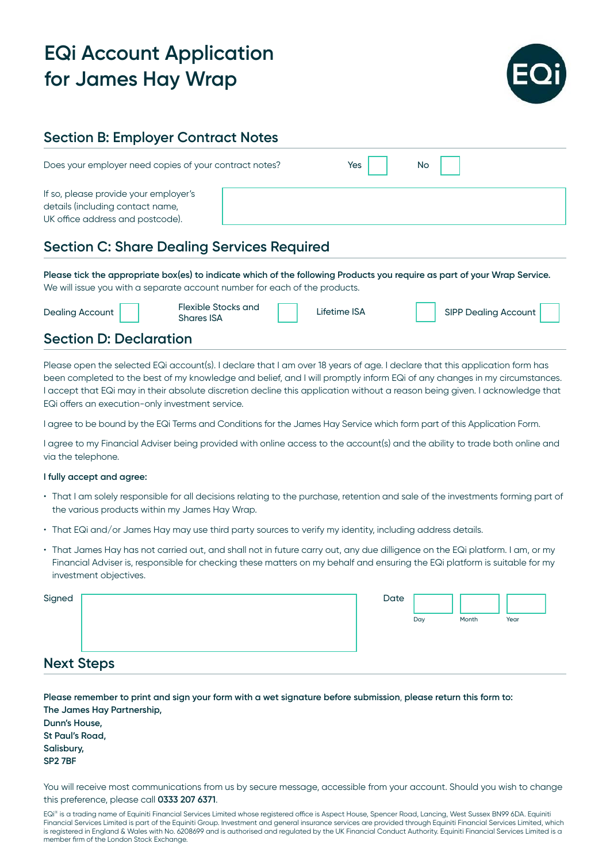

### **Section B: Employer Contract Notes**

| Does your employer need copies of your contract notes?                                                        | Yes | No. |
|---------------------------------------------------------------------------------------------------------------|-----|-----|
| If so, please provide your employer's<br>details (including contact name,<br>UK office address and postcode). |     |     |

### **Section C: Share Dealing Services Required**

**Please tick the appropriate box(es) to indicate which of the following Products you require as part of your Wrap Service.** We will issue you with a separate account number for each of the products.

| Dealing Account               | Flexible Stocks and<br><b>Shares ISA</b> | Lifetime ISA | SIPP Dealing Account |  |
|-------------------------------|------------------------------------------|--------------|----------------------|--|
| <b>Section D: Declaration</b> |                                          |              |                      |  |

Please open the selected EQi account(s). I declare that I am over 18 years of age. I declare that this application form has been completed to the best of my knowledge and belief, and I will promptly inform EQi of any changes in my circumstances. I accept that EQi may in their absolute discretion decline this application without a reason being given. I acknowledge that EQi offers an execution-only investment service.

I agree to be bound by the EQi Terms and Conditions for the James Hay Service which form part of this Application Form.

I agree to my Financial Adviser being provided with online access to the account(s) and the ability to trade both online and via the telephone.

#### **I fully accept and agree:**

- That I am solely responsible for all decisions relating to the purchase, retention and sale of the investments forming part of the various products within my James Hay Wrap.
- That EQi and/or James Hay may use third party sources to verify my identity, including address details.
- That James Hay has not carried out, and shall not in future carry out, any due dilligence on the EQi platform. I am, or my Financial Adviser is, responsible for checking these matters on my behalf and ensuring the EQi platform is suitable for my investment objectives.

| Signed            | Date |     |       |      |  |
|-------------------|------|-----|-------|------|--|
|                   |      | Day | Month | Year |  |
| <b>Next Steps</b> |      |     |       |      |  |

| Please remember to print and sign your form with a wet signature before submission, please return this form to: |
|-----------------------------------------------------------------------------------------------------------------|
| The James Hay Partnership,                                                                                      |
| Dunn's House,                                                                                                   |
| St Paul's Road,                                                                                                 |
| Salisbury,                                                                                                      |
| SP <sub>2</sub> 7BF                                                                                             |
|                                                                                                                 |

You will receive most communications from us by secure message, accessible from your account. Should you wish to change this preference, please call **0333 207 6371**.

EQi® is a trading name of Equiniti Financial Services Limited whose registered office is Aspect House, Spencer Road, Lancing, West Sussex BN99 6DA. Equiniti Financial Services Limited is part of the Equiniti Group. Investment and general insurance services are provided through Equiniti Financial Services Limited, which is registered in England & Wales with No. 6208699 and is authorised and regulated by the UK Financial Conduct Authority. Equiniti Financial Services Limited is a member firm of the London Stock Exchange.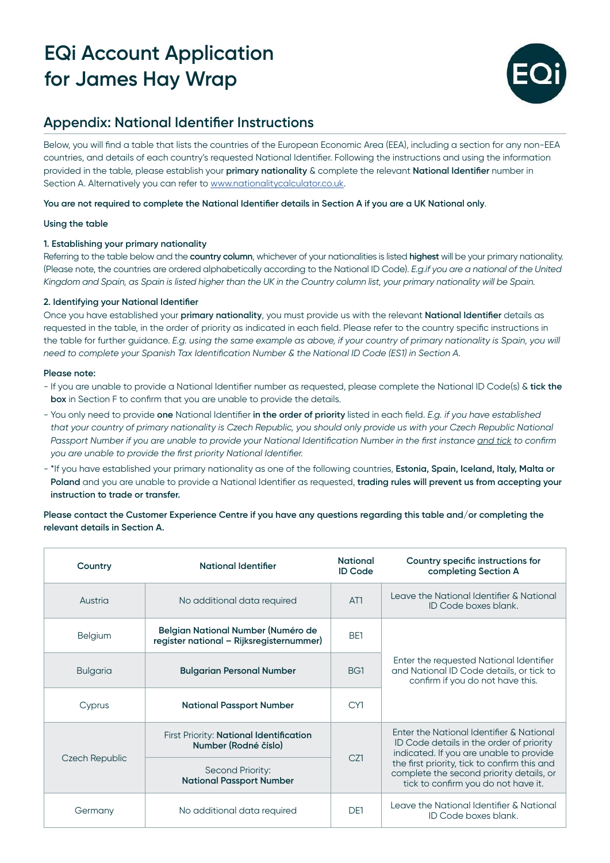

### **Appendix: National Identifier Instructions**

Below, you will find a table that lists the countries of the European Economic Area (EEA), including a section for any non-EEA countries, and details of each country's requested National Identifier. Following the instructions and using the information provided in the table, please establish your **primary nationality** & complete the relevant **National Identifier** number in Section A. Alternatively you can refer to [www.nationalitycalculator.co.uk.](http://www.nationalitycalculator.co.uk)

**You are not required to complete the National Identifier details in Section A if you are a UK National only**.

#### **Using the table**

#### **1. Establishing your primary nationality**

Referring to the table below and the **country column**, whichever of your nationalities is listed **highest** will be your primary nationality. (Please note, the countries are ordered alphabetically according to the National ID Code). *E.g.if you are a national of the United Kingdom and Spain, as Spain is listed higher than the UK in the Country column list, your primary nationality will be Spain.*

#### **2. Identifying your National Identifier**

Once you have established your **primary nationality**, you must provide us with the relevant **National Identifier** details as requested in the table, in the order of priority as indicated in each field. Please refer to the country specific instructions in the table for further guidance. *E.g. using the same example as above, if your country of primary nationality is Spain, you will need to complete your Spanish Tax Identification Number & the National ID Code (ES1) in Section A.*

#### **Please note:**

- If you are unable to provide a National Identifier number as requested, please complete the National ID Code(s) & **tick the box** in Section F to confirm that you are unable to provide the details.
- You only need to provide **one** National Identifier **in the order of priority** listed in each field. *E.g. if you have established that your country of primary nationality is Czech Republic, you should only provide us with your Czech Republic National Passport Number if you are unable to provide your National Identification Number in the first instance and tick to confirm you are unable to provide the first priority National Identifier.*
- \*If you have established your primary nationality as one of the following countries, **Estonia, Spain, Iceland, Italy, Malta or Poland** and you are unable to provide a National Identifier as requested, **trading rules will prevent us from accepting your instruction to trade or transfer.**

#### **Please contact the Customer Experience Centre if you have any questions regarding this table and/or completing the relevant details in Section A.**

| Country                                             | National Identifier                                                            | <b>National</b><br><b>ID Code</b> | Country specific instructions for<br>completing Section A                                                                       |  |  |
|-----------------------------------------------------|--------------------------------------------------------------------------------|-----------------------------------|---------------------------------------------------------------------------------------------------------------------------------|--|--|
| Austria                                             | No additional data required                                                    | AT <sub>1</sub>                   | Leave the National Identifier & National<br>ID Code boxes blank.                                                                |  |  |
| <b>Belgium</b>                                      | Belgian National Number (Numéro de<br>register national - Rijksregisternummer) | BE <sub>1</sub>                   |                                                                                                                                 |  |  |
| <b>Bulgarian Personal Number</b><br><b>Bulgaria</b> |                                                                                | BG1                               | Enter the requested National Identifier<br>and National ID Code details, or tick to<br>confirm if you do not have this.         |  |  |
| Cyprus                                              | <b>National Passport Number</b>                                                | CY1                               |                                                                                                                                 |  |  |
|                                                     | First Priority: National Identification<br>Number (Rodné číslo)                | CZ1                               | Enter the National Identifier & National<br>ID Code details in the order of priority<br>indicated. If you are unable to provide |  |  |
| Czech Republic                                      | Second Priority:<br><b>National Passport Number</b>                            |                                   | the first priority, tick to confirm this and<br>complete the second priority details, or<br>tick to confirm you do not have it. |  |  |
| Germany                                             | No additional data required                                                    | D <sub>F1</sub>                   | Leave the National Identifier & National<br>ID Code boxes blank.                                                                |  |  |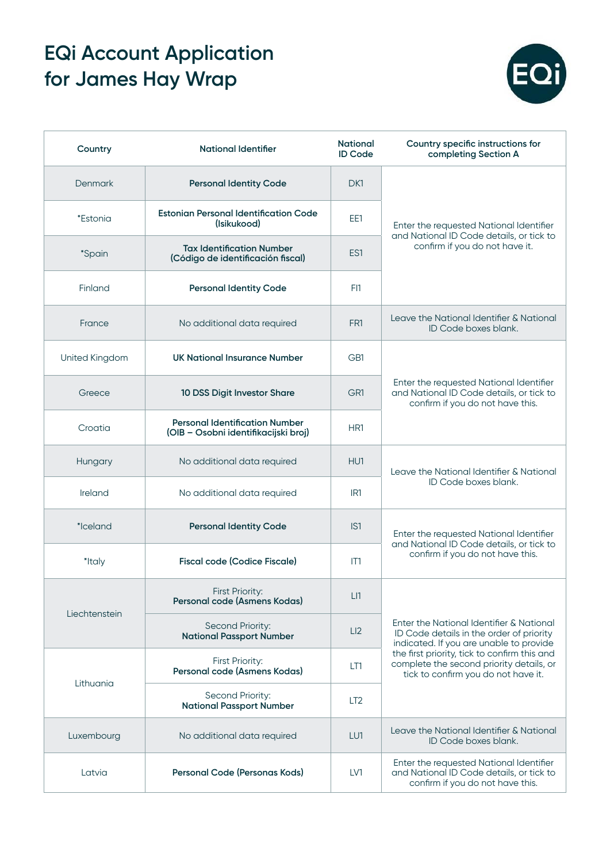

| Country         | <b>National Identifier</b>                                                    | <b>National</b><br><b>ID Code</b> | Country specific instructions for<br>completing Section A                                                                       |
|-----------------|-------------------------------------------------------------------------------|-----------------------------------|---------------------------------------------------------------------------------------------------------------------------------|
| Denmark         | <b>Personal Identity Code</b>                                                 | DK1                               |                                                                                                                                 |
| <i>*Estonia</i> | <b>Estonian Personal Identification Code</b><br>(Isikukood)                   | EE1                               | Enter the requested National Identifier                                                                                         |
| <i>*Spain</i>   | <b>Tax Identification Number</b><br>(Código de identificación fiscal)         | ES1                               | and National ID Code details, or tick to<br>confirm if you do not have it.                                                      |
| Finland         | <b>Personal Identity Code</b>                                                 | FI1                               |                                                                                                                                 |
| France          | No additional data required                                                   | FR1                               | Leave the National Identifier & National<br>ID Code boxes blank.                                                                |
| United Kingdom  | <b>UK National Insurance Number</b>                                           | GB1                               |                                                                                                                                 |
| Greece          | 10 DSS Digit Investor Share                                                   | GR1                               | Enter the requested National Identifier<br>and National ID Code details, or tick to<br>confirm if you do not have this.         |
| Croatia         | <b>Personal Identification Number</b><br>(OIB - Osobni identifikacijski broj) | HR1                               |                                                                                                                                 |
| Hungary         | No additional data required                                                   | HU1                               | Leave the National Identifier & National                                                                                        |
| Ireland         | No additional data required                                                   | IR <sub>1</sub>                   | ID Code boxes blank.                                                                                                            |
| *Iceland        | <b>Personal Identity Code</b>                                                 | IS <sub>1</sub>                   | Enter the requested National Identifier<br>and National ID Code details, or tick to                                             |
| *Italy          | <b>Fiscal code (Codice Fiscale)</b>                                           | IT1                               | confirm if you do not have this.                                                                                                |
|                 | <b>First Priority:</b><br>Personal code (Asmens Kodas)                        | LI                                |                                                                                                                                 |
| Liechtenstein   | Second Priority:<br><b>National Passport Number</b>                           | LI2                               | Enter the National Identifier & National<br>ID Code details in the order of priority<br>indicated. If you are unable to provide |
| Lithuania       | First Priority:<br>Personal code (Asmens Kodas)                               | LT1                               | the first priority, tick to confirm this and<br>complete the second priority details, or<br>tick to confirm you do not have it. |
|                 | Second Priority:<br><b>National Passport Number</b>                           | LT <sub>2</sub>                   |                                                                                                                                 |
| Luxembourg      | No additional data required                                                   | LU1                               | Leave the National Identifier & National<br>ID Code boxes blank.                                                                |
| Latvia          | Personal Code (Personas Kods)                                                 | LV1                               | Enter the requested National Identifier<br>and National ID Code details, or tick to<br>confirm if you do not have this.         |